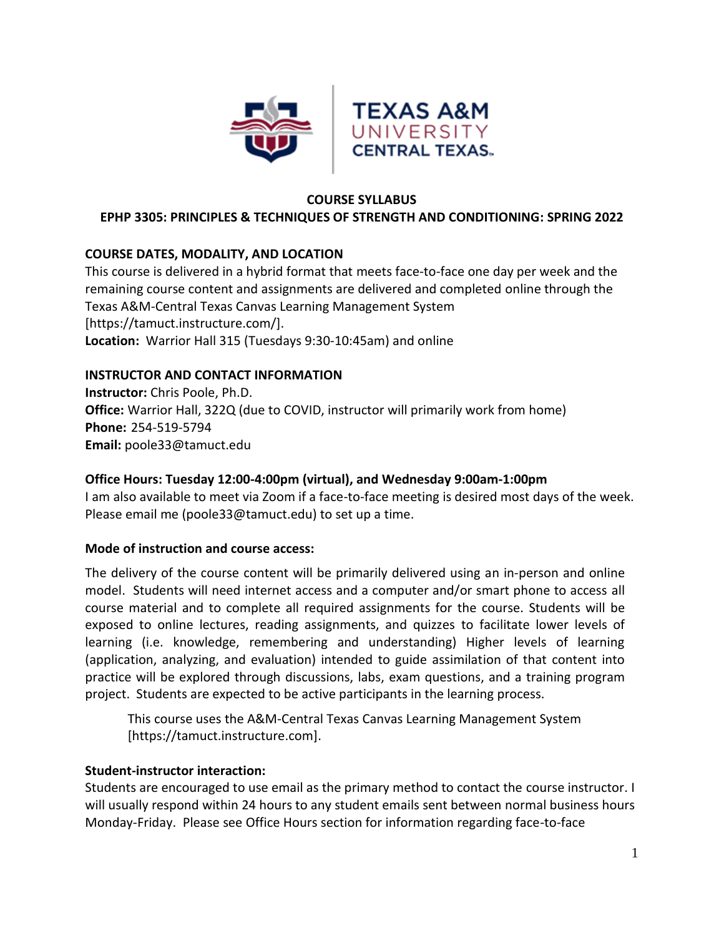

#### **COURSE SYLLABUS**

### **EPHP 3305: PRINCIPLES & TECHNIQUES OF STRENGTH AND CONDITIONING: SPRING 2022**

### **COURSE DATES, MODALITY, AND LOCATION**

This course is delivered in a hybrid format that meets face-to-face one day per week and the remaining course content and assignments are delivered and completed online through the Texas A&M-Central Texas Canvas Learning Management System [https://tamuct.instructure.com/]. **Location:** Warrior Hall 315 (Tuesdays 9:30-10:45am) and online

### **INSTRUCTOR AND CONTACT INFORMATION**

**Instructor:** Chris Poole, Ph.D. **Office:** Warrior Hall, 322Q (due to COVID, instructor will primarily work from home) **Phone:** 254-519-5794 **Email:** poole33@tamuct.edu

### **Office Hours: Tuesday 12:00-4:00pm (virtual), and Wednesday 9:00am-1:00pm**

I am also available to meet via Zoom if a face-to-face meeting is desired most days of the week. Please email me (poole33@tamuct.edu) to set up a time.

### **Mode of instruction and course access:**

The delivery of the course content will be primarily delivered using an in-person and online model. Students will need internet access and a computer and/or smart phone to access all course material and to complete all required assignments for the course. Students will be exposed to online lectures, reading assignments, and quizzes to facilitate lower levels of learning (i.e. knowledge, remembering and understanding) Higher levels of learning (application, analyzing, and evaluation) intended to guide assimilation of that content into practice will be explored through discussions, labs, exam questions, and a training program project. Students are expected to be active participants in the learning process.

This course uses the A&M-Central Texas Canvas Learning Management System [https://tamuct.instructure.com].

### **Student-instructor interaction:**

Students are encouraged to use email as the primary method to contact the course instructor. I will usually respond within 24 hours to any student emails sent between normal business hours Monday-Friday. Please see Office Hours section for information regarding face-to-face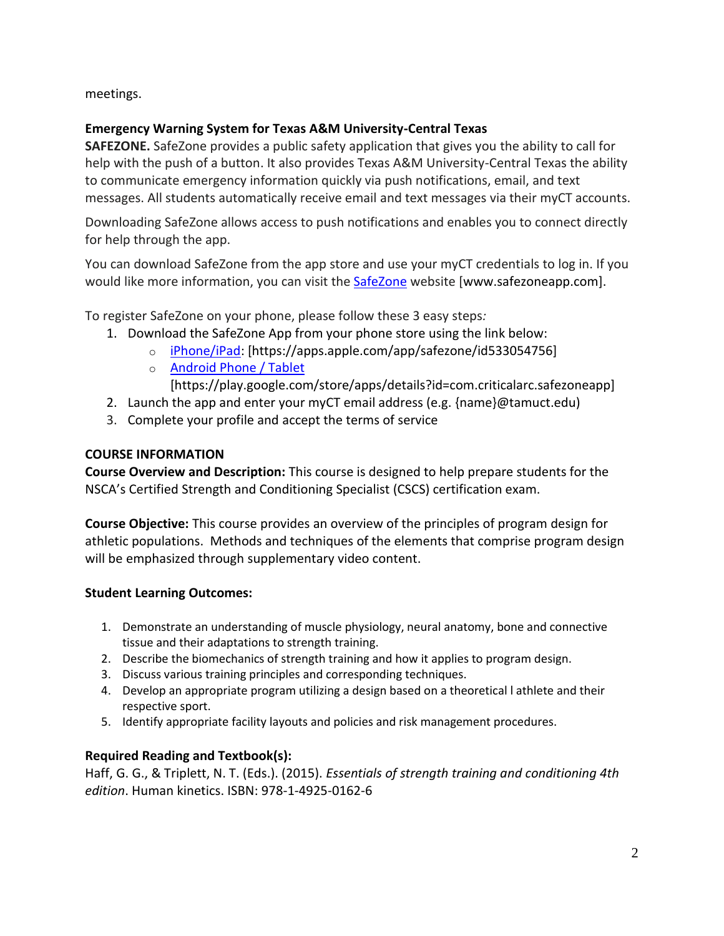meetings.

# **Emergency Warning System for Texas A&M University-Central Texas**

**SAFEZONE.** SafeZone provides a public safety application that gives you the ability to call for help with the push of a button. It also provides Texas A&M University-Central Texas the ability to communicate emergency information quickly via push notifications, email, and text messages. All students automatically receive email and text messages via their myCT accounts.

Downloading SafeZone allows access to push notifications and enables you to connect directly for help through the app.

You can download SafeZone from the app store and use your myCT credentials to log in. If you would like more information, you can visit the **[SafeZone](http://www.safezoneapp.com/)** website [www.safezoneapp.com].

To register SafeZone on your phone, please follow these 3 easy steps*:*

- 1. Download the SafeZone App from your phone store using the link below:
	- o [iPhone/iPad:](https://apps.apple.com/app/safezone/id533054756) [https://apps.apple.com/app/safezone/id533054756]
	- o [Android Phone / Tablet](https://play.google.com/store/apps/details?id=com.criticalarc.safezoneapp)
		- [https://play.google.com/store/apps/details?id=com.criticalarc.safezoneapp]
- 2. Launch the app and enter your myCT email address (e.g. {name}@tamuct.edu)
- 3. Complete your profile and accept the terms of service

# **COURSE INFORMATION**

**Course Overview and Description:** This course is designed to help prepare students for the NSCA's Certified Strength and Conditioning Specialist (CSCS) certification exam.

**Course Objective:** This course provides an overview of the principles of program design for athletic populations. Methods and techniques of the elements that comprise program design will be emphasized through supplementary video content.

# **Student Learning Outcomes:**

- 1. Demonstrate an understanding of muscle physiology, neural anatomy, bone and connective tissue and their adaptations to strength training.
- 2. Describe the biomechanics of strength training and how it applies to program design.
- 3. Discuss various training principles and corresponding techniques.
- 4. Develop an appropriate program utilizing a design based on a theoretical l athlete and their respective sport.
- 5. Identify appropriate facility layouts and policies and risk management procedures.

# **Required Reading and Textbook(s):**

Haff, G. G., & Triplett, N. T. (Eds.). (2015). *Essentials of strength training and conditioning 4th edition*. Human kinetics. ISBN: 978-1-4925-0162-6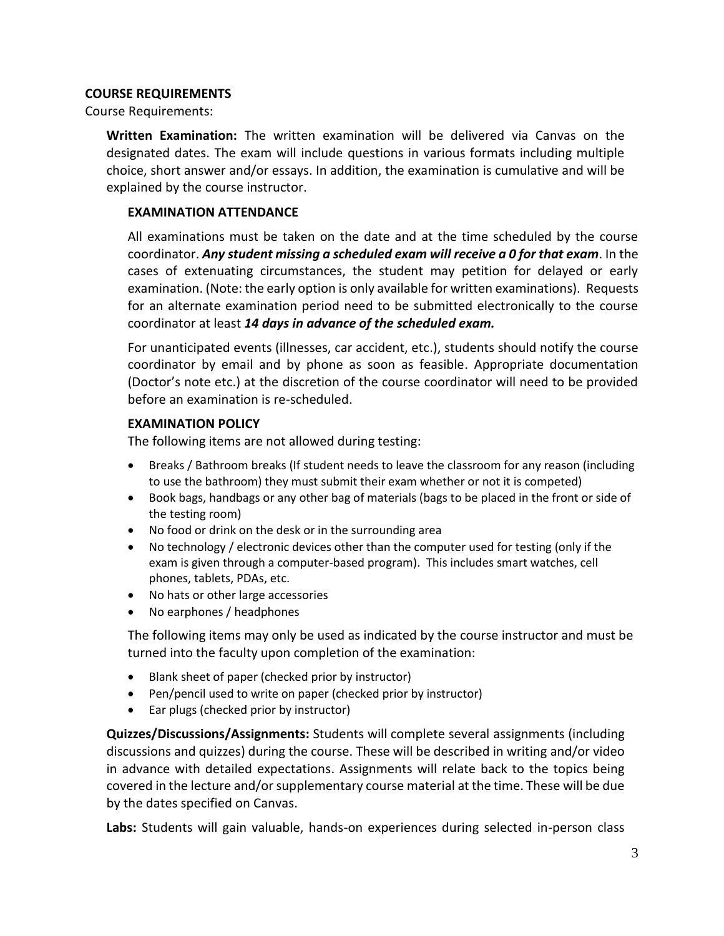### **COURSE REQUIREMENTS**

Course Requirements:

**Written Examination:** The written examination will be delivered via Canvas on the designated dates. The exam will include questions in various formats including multiple choice, short answer and/or essays. In addition, the examination is cumulative and will be explained by the course instructor.

#### **EXAMINATION ATTENDANCE**

All examinations must be taken on the date and at the time scheduled by the course coordinator. *Any student missing a scheduled exam will receive a 0 for that exam*. In the cases of extenuating circumstances, the student may petition for delayed or early examination. (Note: the early option is only available for written examinations). Requests for an alternate examination period need to be submitted electronically to the course coordinator at least *14 days in advance of the scheduled exam.* 

For unanticipated events (illnesses, car accident, etc.), students should notify the course coordinator by email and by phone as soon as feasible. Appropriate documentation (Doctor's note etc.) at the discretion of the course coordinator will need to be provided before an examination is re-scheduled.

#### **EXAMINATION POLICY**

The following items are not allowed during testing:

- Breaks / Bathroom breaks (If student needs to leave the classroom for any reason (including to use the bathroom) they must submit their exam whether or not it is competed)
- Book bags, handbags or any other bag of materials (bags to be placed in the front or side of the testing room)
- No food or drink on the desk or in the surrounding area
- No technology / electronic devices other than the computer used for testing (only if the exam is given through a computer-based program). This includes smart watches, cell phones, tablets, PDAs, etc.
- No hats or other large accessories
- No earphones / headphones

The following items may only be used as indicated by the course instructor and must be turned into the faculty upon completion of the examination:

- Blank sheet of paper (checked prior by instructor)
- Pen/pencil used to write on paper (checked prior by instructor)
- Ear plugs (checked prior by instructor)

**Quizzes/Discussions/Assignments:** Students will complete several assignments (including discussions and quizzes) during the course. These will be described in writing and/or video in advance with detailed expectations. Assignments will relate back to the topics being covered in the lecture and/or supplementary course material at the time. These will be due by the dates specified on Canvas.

**Labs:** Students will gain valuable, hands-on experiences during selected in-person class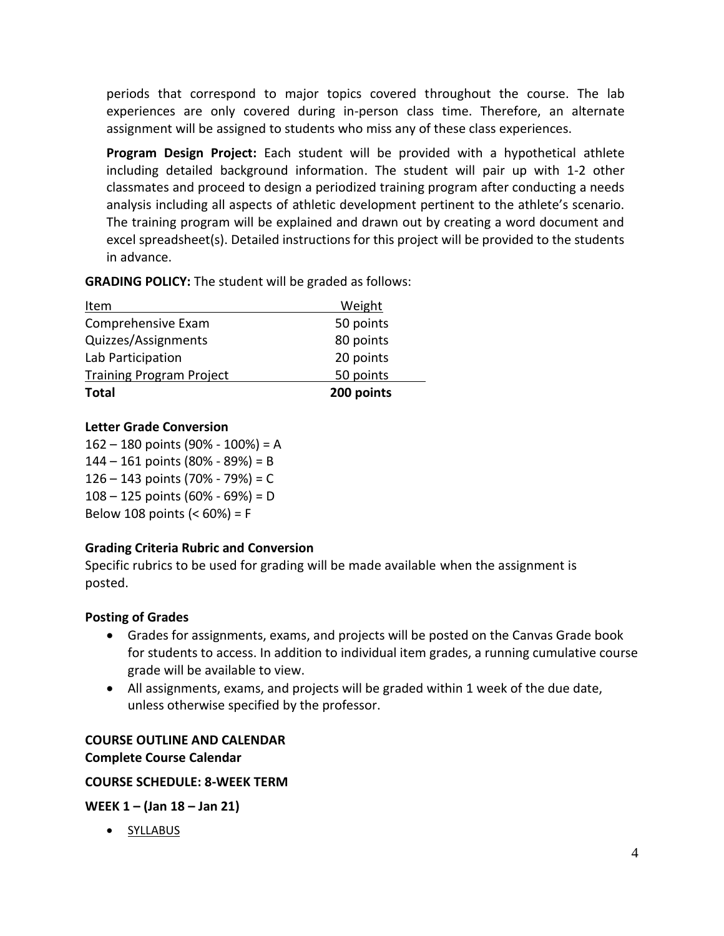periods that correspond to major topics covered throughout the course. The lab experiences are only covered during in-person class time. Therefore, an alternate assignment will be assigned to students who miss any of these class experiences.

**Program Design Project:** Each student will be provided with a hypothetical athlete including detailed background information. The student will pair up with 1-2 other classmates and proceed to design a periodized training program after conducting a needs analysis including all aspects of athletic development pertinent to the athlete's scenario. The training program will be explained and drawn out by creating a word document and excel spreadsheet(s). Detailed instructions for this project will be provided to the students in advance.

**GRADING POLICY:** The student will be graded as follows:

| Item                            | Weight     |
|---------------------------------|------------|
| Comprehensive Exam              | 50 points  |
| Quizzes/Assignments             | 80 points  |
| Lab Participation               | 20 points  |
| <b>Training Program Project</b> | 50 points  |
| <b>Total</b>                    | 200 points |

# **Letter Grade Conversion**

 – 180 points (90% - 100%) = A – 161 points (80% - 89%) = B – 143 points (70% - 79%) = C – 125 points (60% - 69%) = D Below 108 points (< 60%) = F

# **Grading Criteria Rubric and Conversion**

Specific rubrics to be used for grading will be made available when the assignment is posted.

# **Posting of Grades**

- Grades for assignments, exams, and projects will be posted on the Canvas Grade book for students to access. In addition to individual item grades, a running cumulative course grade will be available to view.
- All assignments, exams, and projects will be graded within 1 week of the due date, unless otherwise specified by the professor.

# **COURSE OUTLINE AND CALENDAR Complete Course Calendar**

# **COURSE SCHEDULE: 8-WEEK TERM**

**WEEK 1 – (Jan 18 – Jan 21)**

• SYLLABUS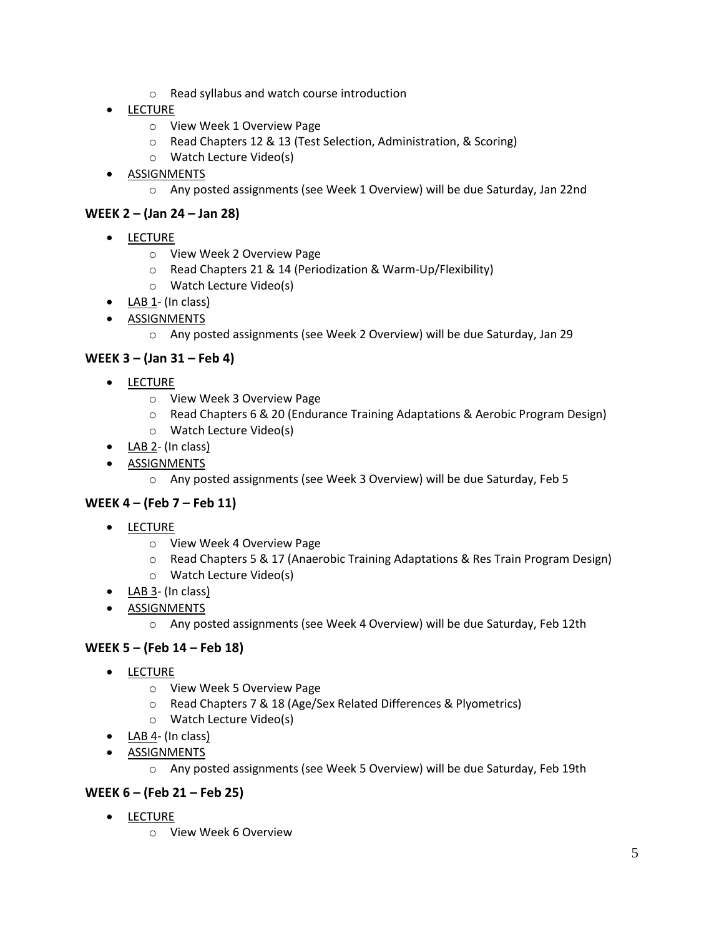- o Read syllabus and watch course introduction
- LECTURE
	- o View Week 1 Overview Page
	- o Read Chapters 12 & 13 (Test Selection, Administration, & Scoring)
	- o Watch Lecture Video(s)
- ASSIGNMENTS
	- o Any posted assignments (see Week 1 Overview) will be due Saturday, Jan 22nd

### **WEEK 2 – (Jan 24 – Jan 28)**

- LECTURE
	- o View Week 2 Overview Page
	- o Read Chapters 21 & 14 (Periodization & Warm-Up/Flexibility)
	- o Watch Lecture Video(s)
- $\bullet$   $\underline{\mathsf{LAB}\,1}$  (In class)
- **•** ASSIGNMENTS
	- o Any posted assignments (see Week 2 Overview) will be due Saturday, Jan 29

### **WEEK 3 – (Jan 31 – Feb 4)**

- LECTURE
	- o View Week 3 Overview Page
	- o Read Chapters 6 & 20 (Endurance Training Adaptations & Aerobic Program Design)
	- o Watch Lecture Video(s)
- $\bullet$  LAB 2- (In class)
- **•** ASSIGNMENTS
	- o Any posted assignments (see Week 3 Overview) will be due Saturday, Feb 5

### **WEEK 4 – (Feb 7 – Feb 11)**

- LECTURE
	- o View Week 4 Overview Page
	- o Read Chapters 5 & 17 (Anaerobic Training Adaptations & Res Train Program Design)
	- o Watch Lecture Video(s)
- $\bullet$  LAB 3- (In class)
- **•** ASSIGNMENTS
	- o Any posted assignments (see Week 4 Overview) will be due Saturday, Feb 12th

# **WEEK 5 – (Feb 14 – Feb 18)**

- LECTURE
	- o View Week 5 Overview Page
	- o Read Chapters 7 & 18 (Age/Sex Related Differences & Plyometrics)
	- o Watch Lecture Video(s)
- LAB 4- (In class)
- **•** ASSIGNMENTS
	- o Any posted assignments (see Week 5 Overview) will be due Saturday, Feb 19th

### **WEEK 6 – (Feb 21 – Feb 25)**

- **•** LECTURE
	- o View Week 6 Overview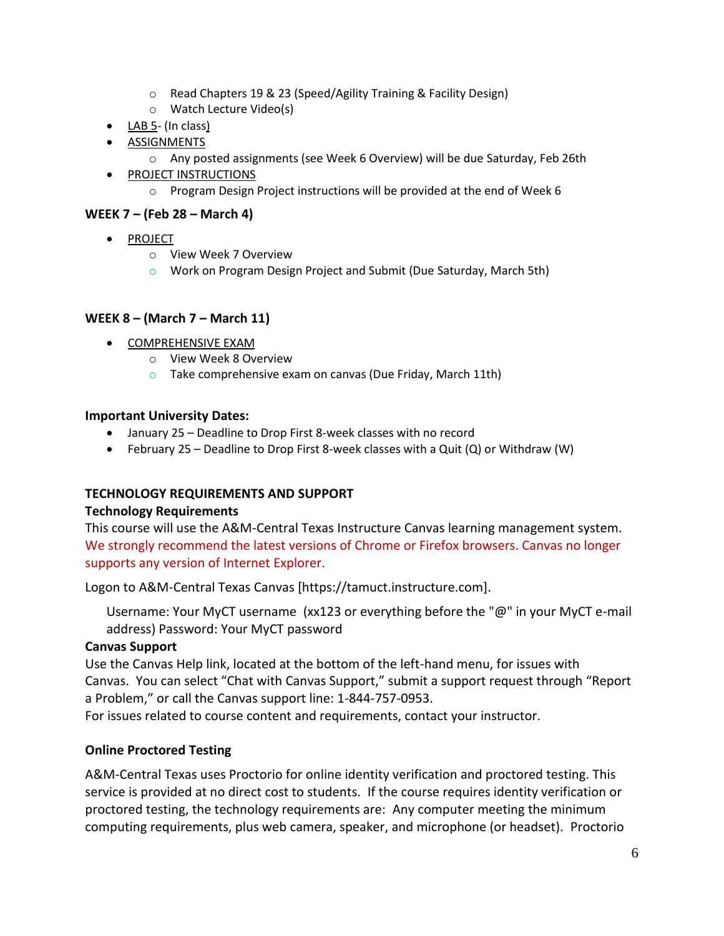- o Read Chapters 19 & 23 (Speed/Agility Training & Facility Design)
- o Watch Lecture Video(s)
- LAB 5- (In class)
- **.** ASSIGNMENTS
	- o Any posted assignments (see Week 6 Overview) will be due Saturday, Feb 26th
- **•** PROJECT INSTRUCTIONS
	- $\circ$  Program Design Project instructions will be provided at the end of Week 6

# **WEEK 7 – (Feb 28 – March 4)**

- PROJECT
	- o View Week 7 Overview
	- o Work on Program Design Project and Submit (Due Saturday, March 5th)

### **WEEK 8 – (March 7 – March 11)**

- COMPREHENSIVE EXAM
	- o View Week 8 Overview
	- $\circ$  Take comprehensive exam on canvas (Due Friday, March 11th)

### **Important University Dates:**

- January 25 Deadline to Drop First 8-week classes with no record
- February 25 Deadline to Drop First 8-week classes with a Quit (Q) or Withdraw (W)

# **TECHNOLOGY REQUIREMENTS AND SUPPORT**

### **Technology Requirements**

This course will use the A&M-Central Texas Instructure Canvas learning management system. We strongly recommend the latest versions of Chrome or Firefox browsers. Canvas no longer supports any version of Internet Explorer.

Logon to A&M-Central Texas Canvas [https://tamuct.instructure.com].

Username: Your MyCT username (xx123 or everything before the "@" in your MyCT e-mail address) Password: Your MyCT password

# **Canvas Support**

Use the Canvas Help link, located at the bottom of the left-hand menu, for issues with Canvas. You can select "Chat with Canvas Support," submit a support request through "Report a Problem," or call the Canvas support line: 1-844-757-0953.

For issues related to course content and requirements, contact your instructor.

# **Online Proctored Testing**

A&M-Central Texas uses Proctorio for online identity verification and proctored testing. This service is provided at no direct cost to students. If the course requires identity verification or proctored testing, the technology requirements are: Any computer meeting the minimum computing requirements, plus web camera, speaker, and microphone (or headset). Proctorio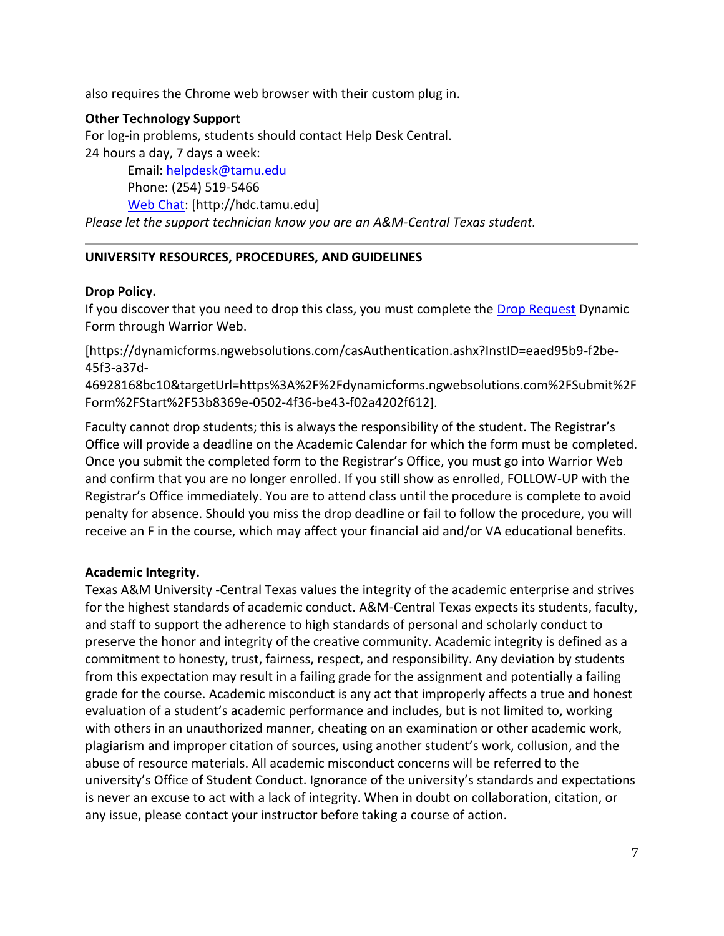also requires the Chrome web browser with their custom plug in.

#### **Other Technology Support**

For log-in problems, students should contact Help Desk Central. 24 hours a day, 7 days a week:

Email: [helpdesk@tamu.edu](mailto:helpdesk@tamu.edu) Phone: (254) 519-5466 [Web Chat:](http://hdc.tamu.edu/) [http://hdc.tamu.edu] *Please let the support technician know you are an A&M-Central Texas student.*

### **UNIVERSITY RESOURCES, PROCEDURES, AND GUIDELINES**

### **Drop Policy.**

If you discover that you need to drop this class, you must complete the **Drop Request** Dynamic Form through Warrior Web.

[https://dynamicforms.ngwebsolutions.com/casAuthentication.ashx?InstID=eaed95b9-f2be-45f3-a37d-

46928168bc10&targetUrl=https%3A%2F%2Fdynamicforms.ngwebsolutions.com%2FSubmit%2F Form%2FStart%2F53b8369e-0502-4f36-be43-f02a4202f612].

Faculty cannot drop students; this is always the responsibility of the student. The Registrar's Office will provide a deadline on the Academic Calendar for which the form must be completed. Once you submit the completed form to the Registrar's Office, you must go into Warrior Web and confirm that you are no longer enrolled. If you still show as enrolled, FOLLOW-UP with the Registrar's Office immediately. You are to attend class until the procedure is complete to avoid penalty for absence. Should you miss the drop deadline or fail to follow the procedure, you will receive an F in the course, which may affect your financial aid and/or VA educational benefits.

### **Academic Integrity.**

Texas A&M University -Central Texas values the integrity of the academic enterprise and strives for the highest standards of academic conduct. A&M-Central Texas expects its students, faculty, and staff to support the adherence to high standards of personal and scholarly conduct to preserve the honor and integrity of the creative community. Academic integrity is defined as a commitment to honesty, trust, fairness, respect, and responsibility. Any deviation by students from this expectation may result in a failing grade for the assignment and potentially a failing grade for the course. Academic misconduct is any act that improperly affects a true and honest evaluation of a student's academic performance and includes, but is not limited to, working with others in an unauthorized manner, cheating on an examination or other academic work, plagiarism and improper citation of sources, using another student's work, collusion, and the abuse of resource materials. All academic misconduct concerns will be referred to the university's Office of Student Conduct. Ignorance of the university's standards and expectations is never an excuse to act with a lack of integrity. When in doubt on collaboration, citation, or any issue, please contact your instructor before taking a course of action.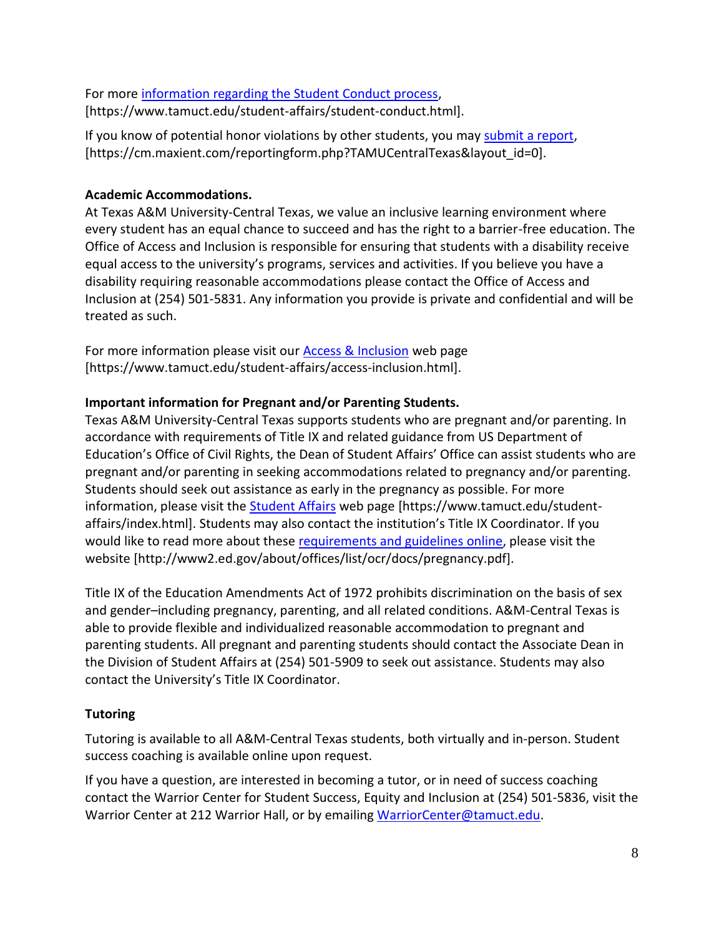For more [information regarding the Student Conduct process,](https://www.tamuct.edu/student-affairs/student-conduct.html) [https://www.tamuct.edu/student-affairs/student-conduct.html].

If you know of potential honor violations by other students, you may [submit a report,](https://cm.maxient.com/reportingform.php?TAMUCentralTexas&layout_id=0) [https://cm.maxient.com/reportingform.php?TAMUCentralTexas&layout\_id=0].

# **Academic Accommodations.**

At Texas A&M University-Central Texas, we value an inclusive learning environment where every student has an equal chance to succeed and has the right to a barrier-free education. The Office of Access and Inclusion is responsible for ensuring that students with a disability receive equal access to the university's programs, services and activities. If you believe you have a disability requiring reasonable accommodations please contact the Office of Access and Inclusion at (254) 501-5831. Any information you provide is private and confidential and will be treated as such.

For more information please visit our **Access & Inclusion** web page [https://www.tamuct.edu/student-affairs/access-inclusion.html].

# **Important information for Pregnant and/or Parenting Students.**

Texas A&M University-Central Texas supports students who are pregnant and/or parenting. In accordance with requirements of Title IX and related guidance from US Department of Education's Office of Civil Rights, the Dean of Student Affairs' Office can assist students who are pregnant and/or parenting in seeking accommodations related to pregnancy and/or parenting. Students should seek out assistance as early in the pregnancy as possible. For more information, please visit the **Student Affairs** web page [https://www.tamuct.edu/studentaffairs/index.html]. Students may also contact the institution's Title IX Coordinator. If you would like to read more about these [requirements and guidelines](http://www2.ed.gov/about/offices/list/ocr/docs/pregnancy.pdf) online, please visit the website [http://www2.ed.gov/about/offices/list/ocr/docs/pregnancy.pdf].

Title IX of the Education Amendments Act of 1972 prohibits discrimination on the basis of sex and gender–including pregnancy, parenting, and all related conditions. A&M-Central Texas is able to provide flexible and individualized reasonable accommodation to pregnant and parenting students. All pregnant and parenting students should contact the Associate Dean in the Division of Student Affairs at (254) 501-5909 to seek out assistance. Students may also contact the University's Title IX Coordinator.

# **Tutoring**

Tutoring is available to all A&M-Central Texas students, both virtually and in-person. Student success coaching is available online upon request.

If you have a question, are interested in becoming a tutor, or in need of success coaching contact the Warrior Center for Student Success, Equity and Inclusion at (254) 501-5836, visit the Warrior Center at 212 Warrior Hall, or by emailing [WarriorCenter@tamuct.edu.](mailto:WarriorCenter@tamuct.edu)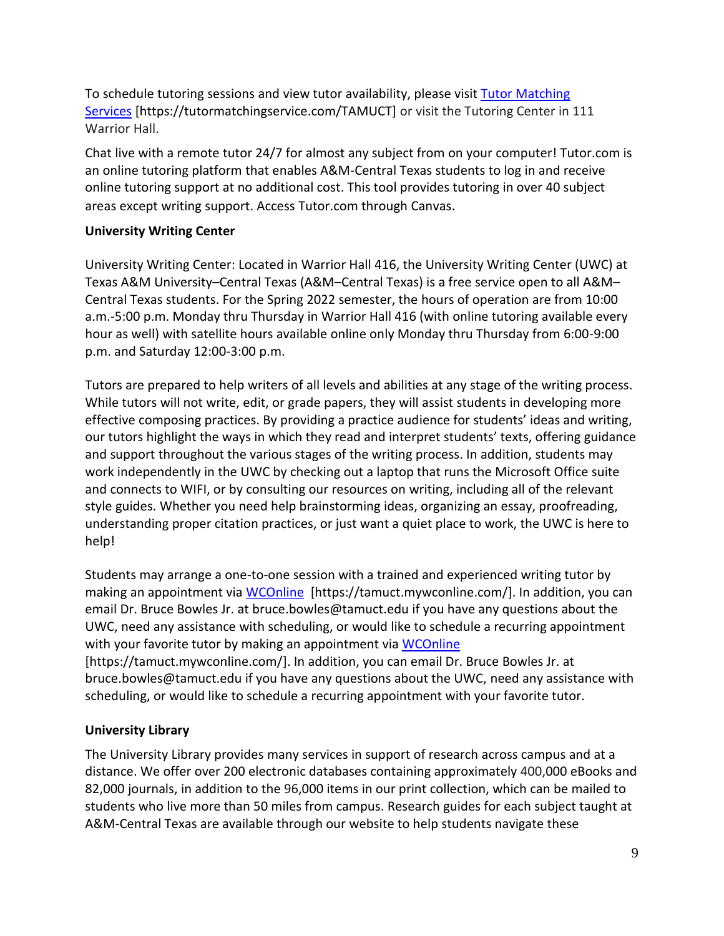To schedule tutoring sessions and view tutor availability, please visit Tutor [Matching](https://nam04.safelinks.protection.outlook.com/?url=http%3A%2F%2Fwww.tutormatchingservices.com%2FTAMUCT&data=04%7C01%7Clisa.bunkowski%40tamuct.edu%7C886784139069461670c308d9aa01f55e%7C9eed4e3000f744849ff193ad8005acec%7C0%7C0%7C637727747643427346%7CUnknown%7CTWFpbGZsb3d8eyJWIjoiMC4wLjAwMDAiLCJQIjoiV2luMzIiLCJBTiI6Ik1haWwiLCJXVCI6Mn0%3D%7C3000&sdata=D%2F8HN2bUT1lLPfs5qSqKYlwh8a7pZVy7isM2gppluQE%3D&reserved=0) [Services](https://nam04.safelinks.protection.outlook.com/?url=http%3A%2F%2Fwww.tutormatchingservices.com%2FTAMUCT&data=04%7C01%7Clisa.bunkowski%40tamuct.edu%7C886784139069461670c308d9aa01f55e%7C9eed4e3000f744849ff193ad8005acec%7C0%7C0%7C637727747643427346%7CUnknown%7CTWFpbGZsb3d8eyJWIjoiMC4wLjAwMDAiLCJQIjoiV2luMzIiLCJBTiI6Ik1haWwiLCJXVCI6Mn0%3D%7C3000&sdata=D%2F8HN2bUT1lLPfs5qSqKYlwh8a7pZVy7isM2gppluQE%3D&reserved=0) [https://tutormatchingservice.com/TAMUCT] or visit the Tutoring Center in 111 Warrior Hall.

Chat live with a remote tutor 24/7 for almost any subject from on your computer! Tutor.com is an online tutoring platform that enables A&M-Central Texas students to log in and receive online tutoring support at no additional cost. This tool provides tutoring in over 40 subject areas except writing support. Access Tutor.com through Canvas.

### **University Writing Center**

University Writing Center: Located in Warrior Hall 416, the University Writing Center (UWC) at Texas A&M University–Central Texas (A&M–Central Texas) is a free service open to all A&M– Central Texas students. For the Spring 2022 semester, the hours of operation are from 10:00 a.m.-5:00 p.m. Monday thru Thursday in Warrior Hall 416 (with online tutoring available every hour as well) with satellite hours available online only Monday thru Thursday from 6:00-9:00 p.m. and Saturday 12:00-3:00 p.m.

Tutors are prepared to help writers of all levels and abilities at any stage of the writing process. While tutors will not write, edit, or grade papers, they will assist students in developing more effective composing practices. By providing a practice audience for students' ideas and writing, our tutors highlight the ways in which they read and interpret students' texts, offering guidance and support throughout the various stages of the writing process. In addition, students may work independently in the UWC by checking out a laptop that runs the Microsoft Office suite and connects to WIFI, or by consulting our resources on writing, including all of the relevant style guides. Whether you need help brainstorming ideas, organizing an essay, proofreading, understanding proper citation practices, or just want a quiet place to work, the UWC is here to help!

Students may arrange a one-to-one session with a trained and experienced writing tutor by making an appointment via [WCOnline](https://tamuct.mywconline.com/) [https://tamuct.mywconline.com/]. In addition, you can email Dr. Bruce Bowles Jr. at bruce.bowles@tamuct.edu if you have any questions about the UWC, need any assistance with scheduling, or would like to schedule a recurring appointment with your favorite tutor by making an appointment via [WCOnline](https://tamuct.mywconline.com/) [https://tamuct.mywconline.com/]. In addition, you can email Dr. Bruce Bowles Jr. at

bruce.bowles@tamuct.edu if you have any questions about the UWC, need any assistance with scheduling, or would like to schedule a recurring appointment with your favorite tutor.

# **University Library**

The University Library provides many services in support of research across campus and at a distance. We offer over 200 electronic databases containing approximately 400,000 eBooks and 82,000 journals, in addition to the 96,000 items in our print collection, which can be mailed to students who live more than 50 miles from campus. Research guides for each subject taught at A&M-Central Texas are available through our website to help students navigate these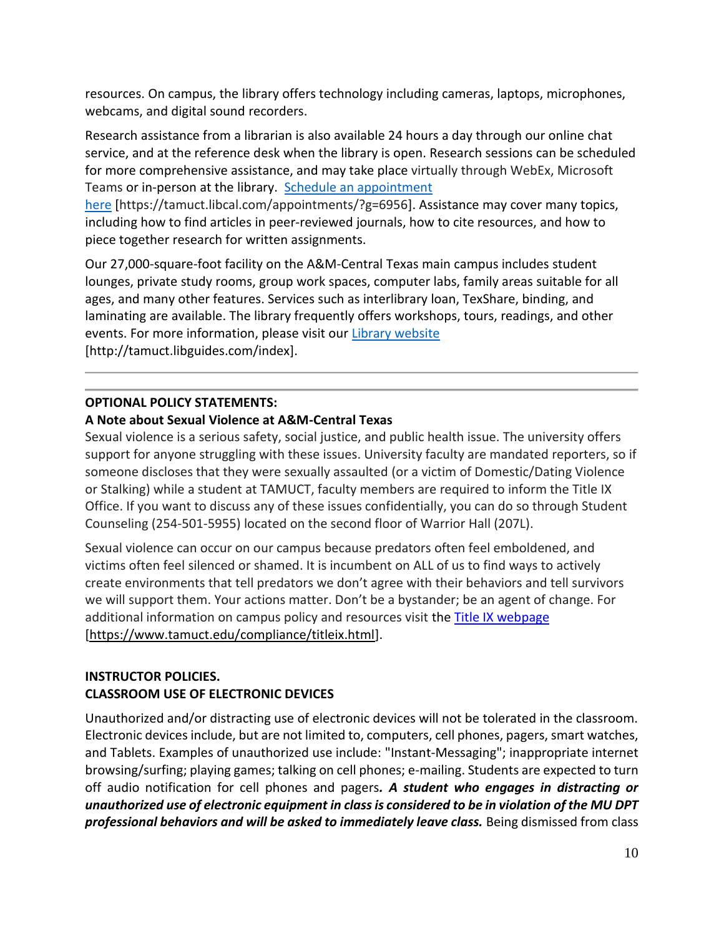resources. On campus, the library offers technology including cameras, laptops, microphones, webcams, and digital sound recorders.

Research assistance from a librarian is also available 24 hours a day through our online chat service, and at the reference desk when the library is open. Research sessions can be scheduled for more comprehensive assistance, and may take place virtually through WebEx, Microsoft Teams or in-person at the library. Schedule an [appointment](https://nam04.safelinks.protection.outlook.com/?url=https%3A%2F%2Ftamuct.libcal.com%2Fappointments%2F%3Fg%3D6956&data=04%7C01%7Clisa.bunkowski%40tamuct.edu%7Cde2c07d9f5804f09518008d9ab7ba6ff%7C9eed4e3000f744849ff193ad8005acec%7C0%7C0%7C637729369835011558%7CUnknown%7CTWFpbGZsb3d8eyJWIjoiMC4wLjAwMDAiLCJQIjoiV2luMzIiLCJBTiI6Ik1haWwiLCJXVCI6Mn0%3D%7C3000&sdata=KhtjgRSAw9aq%2FoBsB6wyu8b7PSuGN5EGPypzr3Ty2No%3D&reserved=0)

[here](https://nam04.safelinks.protection.outlook.com/?url=https%3A%2F%2Ftamuct.libcal.com%2Fappointments%2F%3Fg%3D6956&data=04%7C01%7Clisa.bunkowski%40tamuct.edu%7Cde2c07d9f5804f09518008d9ab7ba6ff%7C9eed4e3000f744849ff193ad8005acec%7C0%7C0%7C637729369835011558%7CUnknown%7CTWFpbGZsb3d8eyJWIjoiMC4wLjAwMDAiLCJQIjoiV2luMzIiLCJBTiI6Ik1haWwiLCJXVCI6Mn0%3D%7C3000&sdata=KhtjgRSAw9aq%2FoBsB6wyu8b7PSuGN5EGPypzr3Ty2No%3D&reserved=0) [https://tamuct.libcal.com/appointments/?g=6956]. Assistance may cover many topics, including how to find articles in peer-reviewed journals, how to cite resources, and how to piece together research for written assignments.

Our 27,000-square-foot facility on the A&M-Central Texas main campus includes student lounges, private study rooms, group work spaces, computer labs, family areas suitable for all ages, and many other features. Services such as interlibrary loan, TexShare, binding, and laminating are available. The library frequently offers workshops, tours, readings, and other events. For more information, please visit our Library [website](https://nam04.safelinks.protection.outlook.com/?url=https%3A%2F%2Ftamuct.libguides.com%2Findex&data=04%7C01%7Clisa.bunkowski%40tamuct.edu%7C7d8489e8839a4915335f08d916f067f2%7C9eed4e3000f744849ff193ad8005acec%7C0%7C0%7C637566044056484222%7CUnknown%7CTWFpbGZsb3d8eyJWIjoiMC4wLjAwMDAiLCJQIjoiV2luMzIiLCJBTiI6Ik1haWwiLCJXVCI6Mn0%3D%7C1000&sdata=2R755V6rcIyedGrd4Os5rkgn1PvhHKU3kUV1vBKiHFo%3D&reserved=0) [http://tamuct.libguides.com/index].

# **OPTIONAL POLICY STATEMENTS:**

### **A Note about Sexual Violence at A&M-Central Texas**

Sexual violence is a serious safety, social justice, and public health issue. The university offers support for anyone struggling with these issues. University faculty are mandated reporters, so if someone discloses that they were sexually assaulted (or a victim of Domestic/Dating Violence or Stalking) while a student at TAMUCT, faculty members are required to inform the Title IX Office. If you want to discuss any of these issues confidentially, you can do so through Student Counseling (254-501-5955) located on the second floor of Warrior Hall (207L).

Sexual violence can occur on our campus because predators often feel emboldened, and victims often feel silenced or shamed. It is incumbent on ALL of us to find ways to actively create environments that tell predators we don't agree with their behaviors and tell survivors we will support them. Your actions matter. Don't be a bystander; be an agent of change. For additional information on campus policy and resources visit the [Title IX webpage](https://www.tamuct.edu/compliance/titleix.html) [\[https://www.tamuct.edu/compliance/titleix.html\]](https://www.tamuct.edu/compliance/titleix.html).

# **INSTRUCTOR POLICIES. CLASSROOM USE OF ELECTRONIC DEVICES**

Unauthorized and/or distracting use of electronic devices will not be tolerated in the classroom. Electronic devices include, but are not limited to, computers, cell phones, pagers, smart watches, and Tablets. Examples of unauthorized use include: "Instant-Messaging"; inappropriate internet browsing/surfing; playing games; talking on cell phones; e-mailing. Students are expected to turn off audio notification for cell phones and pagers*. A student who engages in distracting or unauthorized use of electronic equipment in class is considered to be in violation of the MU DPT professional behaviors and will be asked to immediately leave class.* Being dismissed from class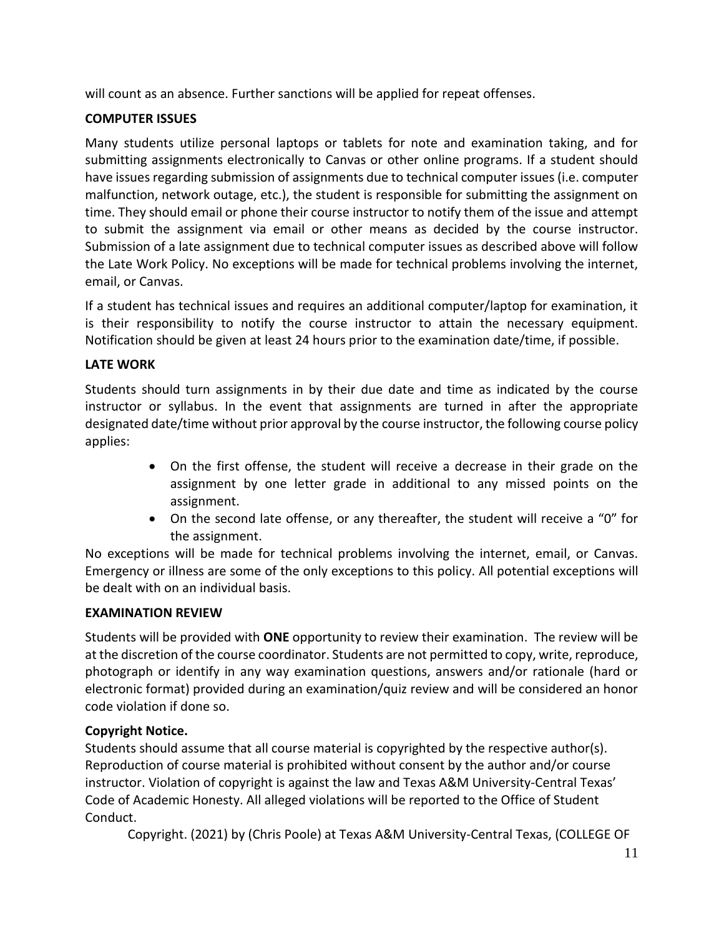will count as an absence. Further sanctions will be applied for repeat offenses.

# **COMPUTER ISSUES**

Many students utilize personal laptops or tablets for note and examination taking, and for submitting assignments electronically to Canvas or other online programs. If a student should have issues regarding submission of assignments due to technical computer issues (i.e. computer malfunction, network outage, etc.), the student is responsible for submitting the assignment on time. They should email or phone their course instructor to notify them of the issue and attempt to submit the assignment via email or other means as decided by the course instructor. Submission of a late assignment due to technical computer issues as described above will follow the Late Work Policy. No exceptions will be made for technical problems involving the internet, email, or Canvas.

If a student has technical issues and requires an additional computer/laptop for examination, it is their responsibility to notify the course instructor to attain the necessary equipment. Notification should be given at least 24 hours prior to the examination date/time, if possible.

# **LATE WORK**

Students should turn assignments in by their due date and time as indicated by the course instructor or syllabus. In the event that assignments are turned in after the appropriate designated date/time without prior approval by the course instructor, the following course policy applies:

- On the first offense, the student will receive a decrease in their grade on the assignment by one letter grade in additional to any missed points on the assignment.
- On the second late offense, or any thereafter, the student will receive a "0" for the assignment.

No exceptions will be made for technical problems involving the internet, email, or Canvas. Emergency or illness are some of the only exceptions to this policy. All potential exceptions will be dealt with on an individual basis.

# **EXAMINATION REVIEW**

Students will be provided with **ONE** opportunity to review their examination. The review will be at the discretion of the course coordinator. Students are not permitted to copy, write, reproduce, photograph or identify in any way examination questions, answers and/or rationale (hard or electronic format) provided during an examination/quiz review and will be considered an honor code violation if done so.

# **Copyright Notice.**

Students should assume that all course material is copyrighted by the respective author(s). Reproduction of course material is prohibited without consent by the author and/or course instructor. Violation of copyright is against the law and Texas A&M University-Central Texas' Code of Academic Honesty. All alleged violations will be reported to the Office of Student Conduct.

Copyright. (2021) by (Chris Poole) at Texas A&M University-Central Texas, (COLLEGE OF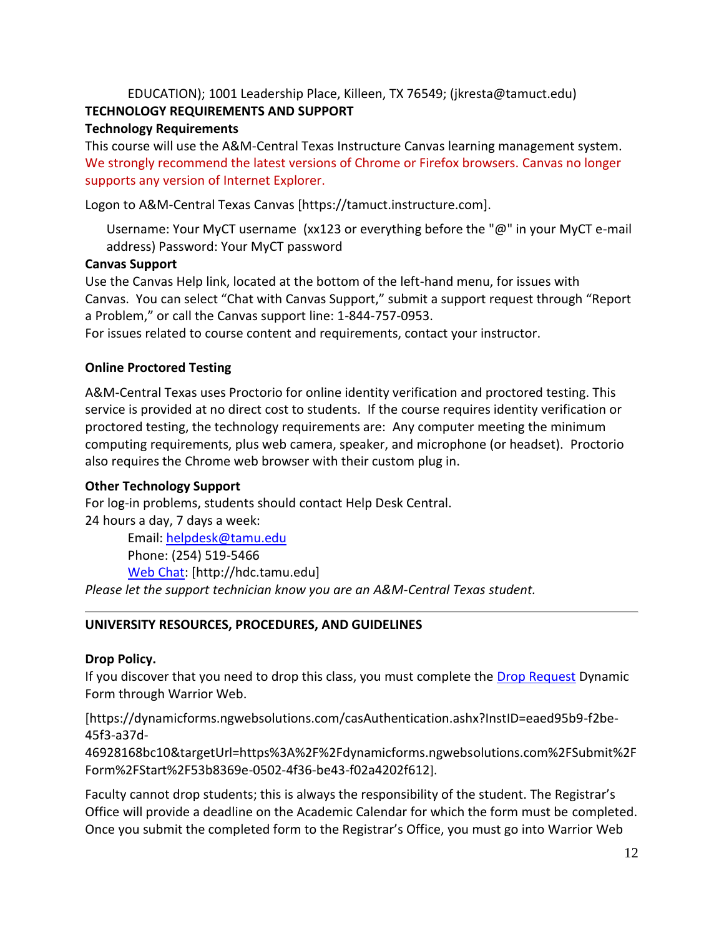# EDUCATION); 1001 Leadership Place, Killeen, TX 76549; (jkresta@tamuct.edu) **TECHNOLOGY REQUIREMENTS AND SUPPORT**

# **Technology Requirements**

This course will use the A&M-Central Texas Instructure Canvas learning management system. We strongly recommend the latest versions of Chrome or Firefox browsers. Canvas no longer supports any version of Internet Explorer.

Logon to A&M-Central Texas Canvas [https://tamuct.instructure.com].

Username: Your MyCT username (xx123 or everything before the "@" in your MyCT e-mail address) Password: Your MyCT password

# **Canvas Support**

Use the Canvas Help link, located at the bottom of the left-hand menu, for issues with Canvas. You can select "Chat with Canvas Support," submit a support request through "Report a Problem," or call the Canvas support line: 1-844-757-0953.

For issues related to course content and requirements, contact your instructor.

# **Online Proctored Testing**

A&M-Central Texas uses Proctorio for online identity verification and proctored testing. This service is provided at no direct cost to students. If the course requires identity verification or proctored testing, the technology requirements are: Any computer meeting the minimum computing requirements, plus web camera, speaker, and microphone (or headset). Proctorio also requires the Chrome web browser with their custom plug in.

# **Other Technology Support**

For log-in problems, students should contact Help Desk Central.

24 hours a day, 7 days a week:

Email: [helpdesk@tamu.edu](mailto:helpdesk@tamu.edu) Phone: (254) 519-5466 [Web Chat:](http://hdc.tamu.edu/) [http://hdc.tamu.edu]

*Please let the support technician know you are an A&M-Central Texas student.*

# **UNIVERSITY RESOURCES, PROCEDURES, AND GUIDELINES**

# **Drop Policy.**

If you discover that you need to drop this class, you must complete the [Drop Request](https://dynamicforms.ngwebsolutions.com/casAuthentication.ashx?InstID=eaed95b9-f2be-45f3-a37d-46928168bc10&targetUrl=https%3A%2F%2Fdynamicforms.ngwebsolutions.com%2FSubmit%2FForm%2FStart%2F53b8369e-0502-4f36-be43-f02a4202f612) Dynamic Form through Warrior Web.

[https://dynamicforms.ngwebsolutions.com/casAuthentication.ashx?InstID=eaed95b9-f2be-45f3-a37d-

46928168bc10&targetUrl=https%3A%2F%2Fdynamicforms.ngwebsolutions.com%2FSubmit%2F Form%2FStart%2F53b8369e-0502-4f36-be43-f02a4202f612].

Faculty cannot drop students; this is always the responsibility of the student. The Registrar's Office will provide a deadline on the Academic Calendar for which the form must be completed. Once you submit the completed form to the Registrar's Office, you must go into Warrior Web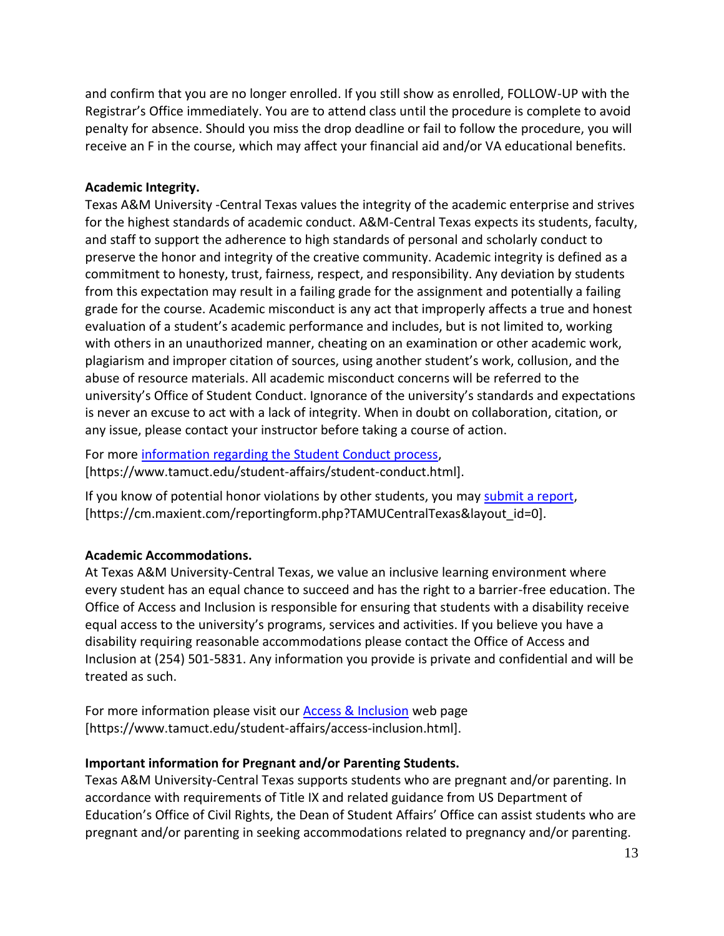and confirm that you are no longer enrolled. If you still show as enrolled, FOLLOW-UP with the Registrar's Office immediately. You are to attend class until the procedure is complete to avoid penalty for absence. Should you miss the drop deadline or fail to follow the procedure, you will receive an F in the course, which may affect your financial aid and/or VA educational benefits.

### **Academic Integrity.**

Texas A&M University -Central Texas values the integrity of the academic enterprise and strives for the highest standards of academic conduct. A&M-Central Texas expects its students, faculty, and staff to support the adherence to high standards of personal and scholarly conduct to preserve the honor and integrity of the creative community. Academic integrity is defined as a commitment to honesty, trust, fairness, respect, and responsibility. Any deviation by students from this expectation may result in a failing grade for the assignment and potentially a failing grade for the course. Academic misconduct is any act that improperly affects a true and honest evaluation of a student's academic performance and includes, but is not limited to, working with others in an unauthorized manner, cheating on an examination or other academic work, plagiarism and improper citation of sources, using another student's work, collusion, and the abuse of resource materials. All academic misconduct concerns will be referred to the university's Office of Student Conduct. Ignorance of the university's standards and expectations is never an excuse to act with a lack of integrity. When in doubt on collaboration, citation, or any issue, please contact your instructor before taking a course of action.

For more [information regarding the Student Conduct process,](https://www.tamuct.edu/student-affairs/student-conduct.html) [https://www.tamuct.edu/student-affairs/student-conduct.html].

If you know of potential honor violations by other students, you may [submit a report,](https://cm.maxient.com/reportingform.php?TAMUCentralTexas&layout_id=0) [https://cm.maxient.com/reportingform.php?TAMUCentralTexas&layout\_id=0].

# **Academic Accommodations.**

At Texas A&M University-Central Texas, we value an inclusive learning environment where every student has an equal chance to succeed and has the right to a barrier-free education. The Office of Access and Inclusion is responsible for ensuring that students with a disability receive equal access to the university's programs, services and activities. If you believe you have a disability requiring reasonable accommodations please contact the Office of Access and Inclusion at (254) 501-5831. Any information you provide is private and confidential and will be treated as such.

For more information please visit our [Access & Inclusion](https://www.tamuct.edu/student-affairs/access-inclusion.html) web page [https://www.tamuct.edu/student-affairs/access-inclusion.html].

### **Important information for Pregnant and/or Parenting Students.**

Texas A&M University-Central Texas supports students who are pregnant and/or parenting. In accordance with requirements of Title IX and related guidance from US Department of Education's Office of Civil Rights, the Dean of Student Affairs' Office can assist students who are pregnant and/or parenting in seeking accommodations related to pregnancy and/or parenting.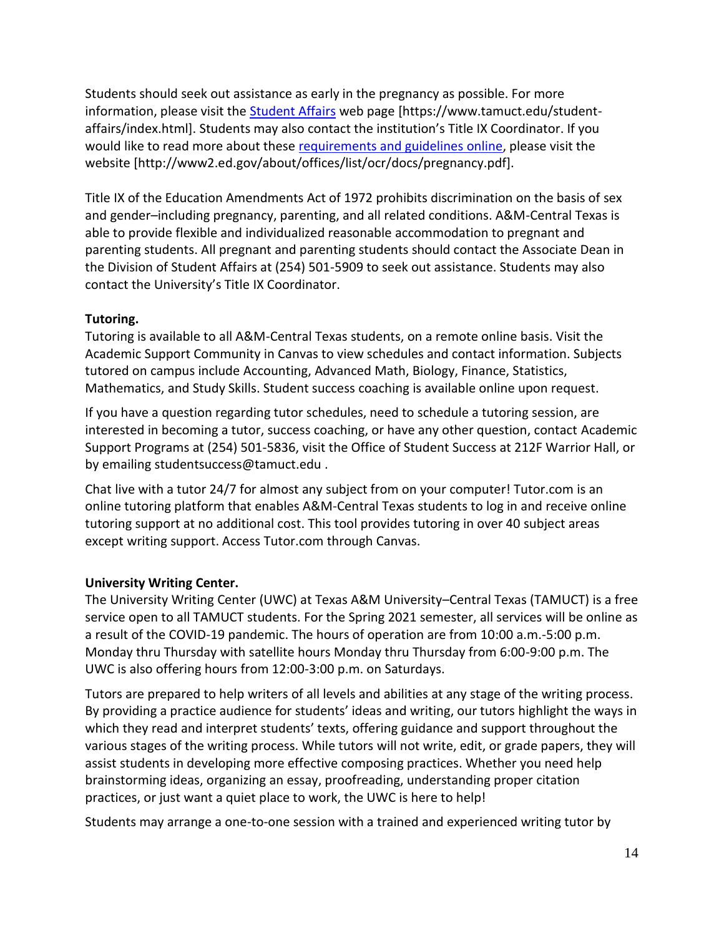Students should seek out assistance as early in the pregnancy as possible. For more information, please visit the [Student Affairs](https://www.tamuct.edu/student-affairs/index.html) web page [https://www.tamuct.edu/studentaffairs/index.html]. Students may also contact the institution's Title IX Coordinator. If you would like to read more about these [requirements and guidelines](http://www2.ed.gov/about/offices/list/ocr/docs/pregnancy.pdf) online, please visit the website [http://www2.ed.gov/about/offices/list/ocr/docs/pregnancy.pdf].

Title IX of the Education Amendments Act of 1972 prohibits discrimination on the basis of sex and gender–including pregnancy, parenting, and all related conditions. A&M-Central Texas is able to provide flexible and individualized reasonable accommodation to pregnant and parenting students. All pregnant and parenting students should contact the Associate Dean in the Division of Student Affairs at (254) 501-5909 to seek out assistance. Students may also contact the University's Title IX Coordinator.

# **Tutoring.**

Tutoring is available to all A&M-Central Texas students, on a remote online basis. Visit the Academic Support Community in Canvas to view schedules and contact information. Subjects tutored on campus include Accounting, Advanced Math, Biology, Finance, Statistics, Mathematics, and Study Skills. Student success coaching is available online upon request.

If you have a question regarding tutor schedules, need to schedule a tutoring session, are interested in becoming a tutor, success coaching, or have any other question, contact Academic Support Programs at (254) 501-5836, visit the Office of Student Success at 212F Warrior Hall, or by emailing studentsuccess@tamuct.edu .

Chat live with a tutor 24/7 for almost any subject from on your computer! Tutor.com is an online tutoring platform that enables A&M-Central Texas students to log in and receive online tutoring support at no additional cost. This tool provides tutoring in over 40 subject areas except writing support. Access Tutor.com through Canvas.

# **University Writing Center.**

The University Writing Center (UWC) at Texas A&M University–Central Texas (TAMUCT) is a free service open to all TAMUCT students. For the Spring 2021 semester, all services will be online as a result of the COVID-19 pandemic. The hours of operation are from 10:00 a.m.-5:00 p.m. Monday thru Thursday with satellite hours Monday thru Thursday from 6:00-9:00 p.m. The UWC is also offering hours from 12:00-3:00 p.m. on Saturdays.

Tutors are prepared to help writers of all levels and abilities at any stage of the writing process. By providing a practice audience for students' ideas and writing, our tutors highlight the ways in which they read and interpret students' texts, offering guidance and support throughout the various stages of the writing process. While tutors will not write, edit, or grade papers, they will assist students in developing more effective composing practices. Whether you need help brainstorming ideas, organizing an essay, proofreading, understanding proper citation practices, or just want a quiet place to work, the UWC is here to help!

Students may arrange a one-to-one session with a trained and experienced writing tutor by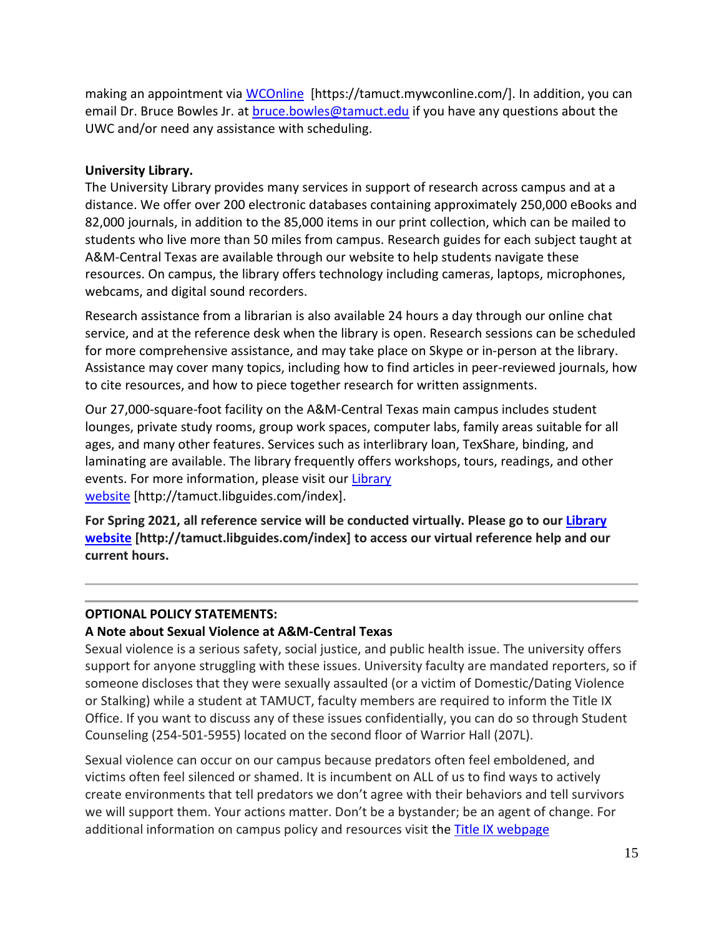making an appointment via [WCOnline](https://tamuct.mywconline.com/) [https://tamuct.mywconline.com/]. In addition, you can email Dr. Bruce Bowles Jr. at [bruce.bowles@tamuct.edu](mailto:bruce.bowles@tamuct.edu) if you have any questions about the UWC and/or need any assistance with scheduling.

### **University Library.**

The University Library provides many services in support of research across campus and at a distance. We offer over 200 electronic databases containing approximately 250,000 eBooks and 82,000 journals, in addition to the 85,000 items in our print collection, which can be mailed to students who live more than 50 miles from campus. Research guides for each subject taught at A&M-Central Texas are available through our website to help students navigate these resources. On campus, the library offers technology including cameras, laptops, microphones, webcams, and digital sound recorders.

Research assistance from a librarian is also available 24 hours a day through our online chat service, and at the reference desk when the library is open. Research sessions can be scheduled for more comprehensive assistance, and may take place on Skype or in-person at the library. Assistance may cover many topics, including how to find articles in peer-reviewed journals, how to cite resources, and how to piece together research for written assignments.

Our 27,000-square-foot facility on the A&M-Central Texas main campus includes student lounges, private study rooms, group work spaces, computer labs, family areas suitable for all ages, and many other features. Services such as interlibrary loan, TexShare, binding, and laminating are available. The library frequently offers workshops, tours, readings, and other events. For more information, please visit our [Library](https://tamuct.libguides.com/index) [website](https://tamuct.libguides.com/index) [http://tamuct.libguides.com/index].

**For Spring 2021, all reference service will be conducted virtually. Please go to our [Library](https://nam04.safelinks.protection.outlook.com/?url=https%3A%2F%2Ftamuct.libguides.com%2Findex&data=04%7C01%7Clisa.bunkowski%40tamuct.edu%7C8242506d517f4275449608d87c521260%7C9eed4e3000f744849ff193ad8005acec%7C0%7C0%7C637396039225117111%7CUnknown%7CTWFpbGZsb3d8eyJWIjoiMC4wLjAwMDAiLCJQIjoiV2luMzIiLCJBTiI6Ik1haWwiLCJXVCI6Mn0%3D%7C1000&sdata=o3Ld7UKky5UoafnKDkA%2BCH9C50eLGHkiCfz7ajI2vRM%3D&reserved=0) [website](https://nam04.safelinks.protection.outlook.com/?url=https%3A%2F%2Ftamuct.libguides.com%2Findex&data=04%7C01%7Clisa.bunkowski%40tamuct.edu%7C8242506d517f4275449608d87c521260%7C9eed4e3000f744849ff193ad8005acec%7C0%7C0%7C637396039225117111%7CUnknown%7CTWFpbGZsb3d8eyJWIjoiMC4wLjAwMDAiLCJQIjoiV2luMzIiLCJBTiI6Ik1haWwiLCJXVCI6Mn0%3D%7C1000&sdata=o3Ld7UKky5UoafnKDkA%2BCH9C50eLGHkiCfz7ajI2vRM%3D&reserved=0) [http://tamuct.libguides.com/index] to access our virtual reference help and our current hours.**

# **OPTIONAL POLICY STATEMENTS:**

# **A Note about Sexual Violence at A&M-Central Texas**

Sexual violence is a serious safety, social justice, and public health issue. The university offers support for anyone struggling with these issues. University faculty are mandated reporters, so if someone discloses that they were sexually assaulted (or a victim of Domestic/Dating Violence or Stalking) while a student at TAMUCT, faculty members are required to inform the Title IX Office. If you want to discuss any of these issues confidentially, you can do so through Student Counseling (254-501-5955) located on the second floor of Warrior Hall (207L).

Sexual violence can occur on our campus because predators often feel emboldened, and victims often feel silenced or shamed. It is incumbent on ALL of us to find ways to actively create environments that tell predators we don't agree with their behaviors and tell survivors we will support them. Your actions matter. Don't be a bystander; be an agent of change. For additional information on campus policy and resources visit the **Title IX webpage**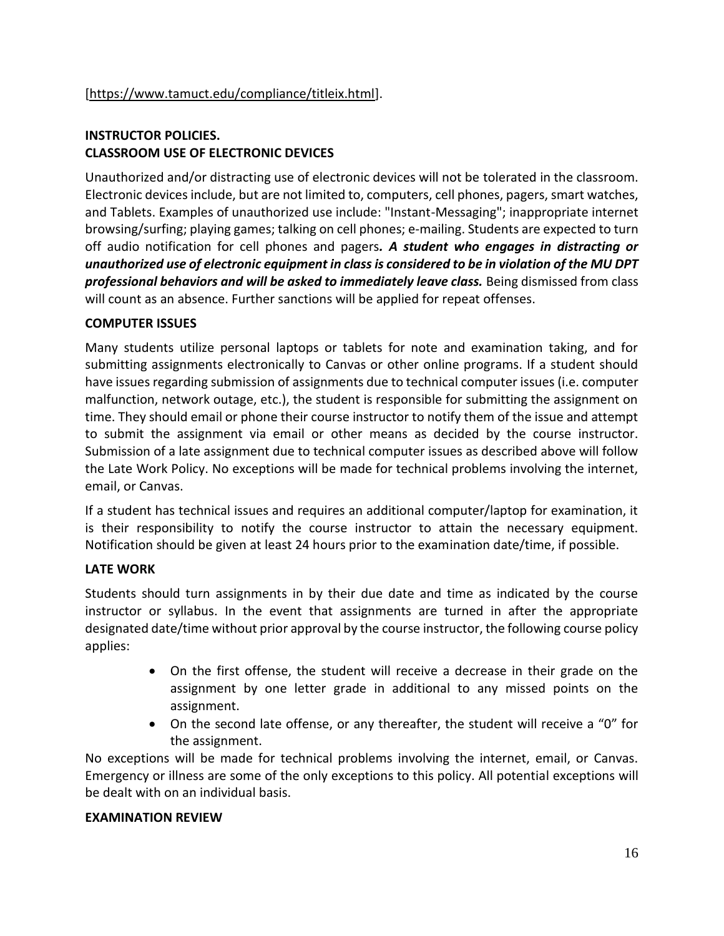# **INSTRUCTOR POLICIES. CLASSROOM USE OF ELECTRONIC DEVICES**

Unauthorized and/or distracting use of electronic devices will not be tolerated in the classroom. Electronic devices include, but are not limited to, computers, cell phones, pagers, smart watches, and Tablets. Examples of unauthorized use include: "Instant-Messaging"; inappropriate internet browsing/surfing; playing games; talking on cell phones; e-mailing. Students are expected to turn off audio notification for cell phones and pagers*. A student who engages in distracting or unauthorized use of electronic equipment in class is considered to be in violation of the MU DPT professional behaviors and will be asked to immediately leave class.* Being dismissed from class will count as an absence. Further sanctions will be applied for repeat offenses.

# **COMPUTER ISSUES**

Many students utilize personal laptops or tablets for note and examination taking, and for submitting assignments electronically to Canvas or other online programs. If a student should have issues regarding submission of assignments due to technical computer issues (i.e. computer malfunction, network outage, etc.), the student is responsible for submitting the assignment on time. They should email or phone their course instructor to notify them of the issue and attempt to submit the assignment via email or other means as decided by the course instructor. Submission of a late assignment due to technical computer issues as described above will follow the Late Work Policy. No exceptions will be made for technical problems involving the internet, email, or Canvas.

If a student has technical issues and requires an additional computer/laptop for examination, it is their responsibility to notify the course instructor to attain the necessary equipment. Notification should be given at least 24 hours prior to the examination date/time, if possible.

### **LATE WORK**

Students should turn assignments in by their due date and time as indicated by the course instructor or syllabus. In the event that assignments are turned in after the appropriate designated date/time without prior approval by the course instructor, the following course policy applies:

- On the first offense, the student will receive a decrease in their grade on the assignment by one letter grade in additional to any missed points on the assignment.
- On the second late offense, or any thereafter, the student will receive a "0" for the assignment.

No exceptions will be made for technical problems involving the internet, email, or Canvas. Emergency or illness are some of the only exceptions to this policy. All potential exceptions will be dealt with on an individual basis.

### **EXAMINATION REVIEW**